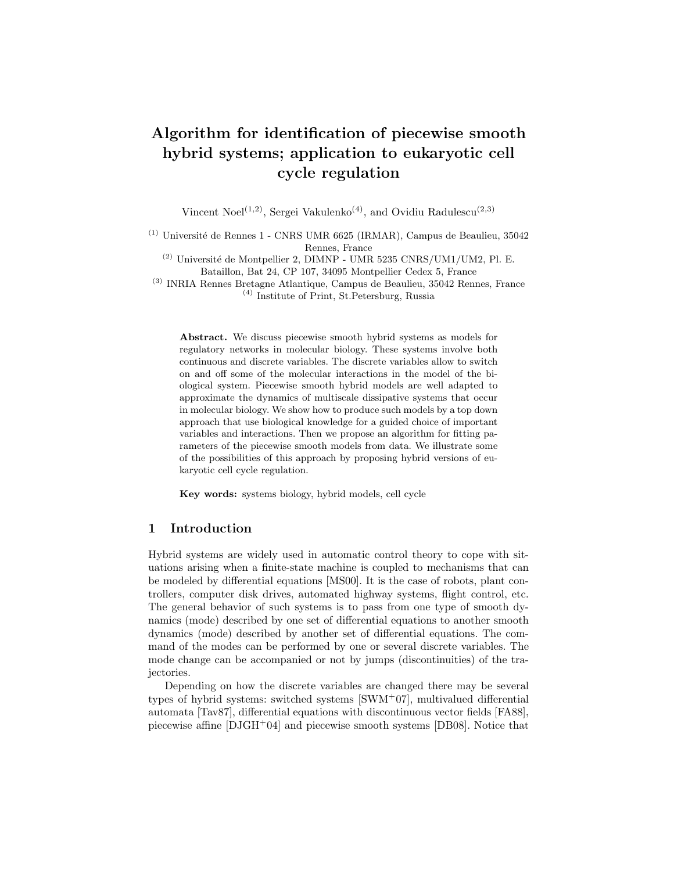# Algorithm for identification of piecewise smooth hybrid systems; application to eukaryotic cell cycle regulation

Vincent Noel<sup>(1,2)</sup>, Sergei Vakulenko<sup>(4)</sup>, and Ovidiu Radulescu<sup>(2,3)</sup>

 $(1)$  Université de Rennes 1 - CNRS UMR 6625 (IRMAR), Campus de Beaulieu, 35042 Rennes, France

 $^{(2)}$ Université de Montpellier 2, DIMNP - UMR 5235  $\rm CNRS/UM1/UM2,$  Pl. E. Bataillon, Bat 24, CP 107, 34095 Montpellier Cedex 5, France

(3) INRIA Rennes Bretagne Atlantique, Campus de Beaulieu, 35042 Rennes, France (4) Institute of Print, St.Petersburg, Russia

Abstract. We discuss piecewise smooth hybrid systems as models for regulatory networks in molecular biology. These systems involve both continuous and discrete variables. The discrete variables allow to switch on and off some of the molecular interactions in the model of the biological system. Piecewise smooth hybrid models are well adapted to approximate the dynamics of multiscale dissipative systems that occur in molecular biology. We show how to produce such models by a top down approach that use biological knowledge for a guided choice of important variables and interactions. Then we propose an algorithm for fitting parameters of the piecewise smooth models from data. We illustrate some of the possibilities of this approach by proposing hybrid versions of eukaryotic cell cycle regulation.

Key words: systems biology, hybrid models, cell cycle

## 1 Introduction

Hybrid systems are widely used in automatic control theory to cope with situations arising when a finite-state machine is coupled to mechanisms that can be modeled by differential equations [MS00]. It is the case of robots, plant controllers, computer disk drives, automated highway systems, flight control, etc. The general behavior of such systems is to pass from one type of smooth dynamics (mode) described by one set of differential equations to another smooth dynamics (mode) described by another set of differential equations. The command of the modes can be performed by one or several discrete variables. The mode change can be accompanied or not by jumps (discontinuities) of the trajectories.

Depending on how the discrete variables are changed there may be several types of hybrid systems: switched systems  $\text{SWM}^+07$ , multivalued differential automata [Tav87], differential equations with discontinuous vector fields [FA88], piecewise affine [DJGH<sup>+</sup>04] and piecewise smooth systems [DB08]. Notice that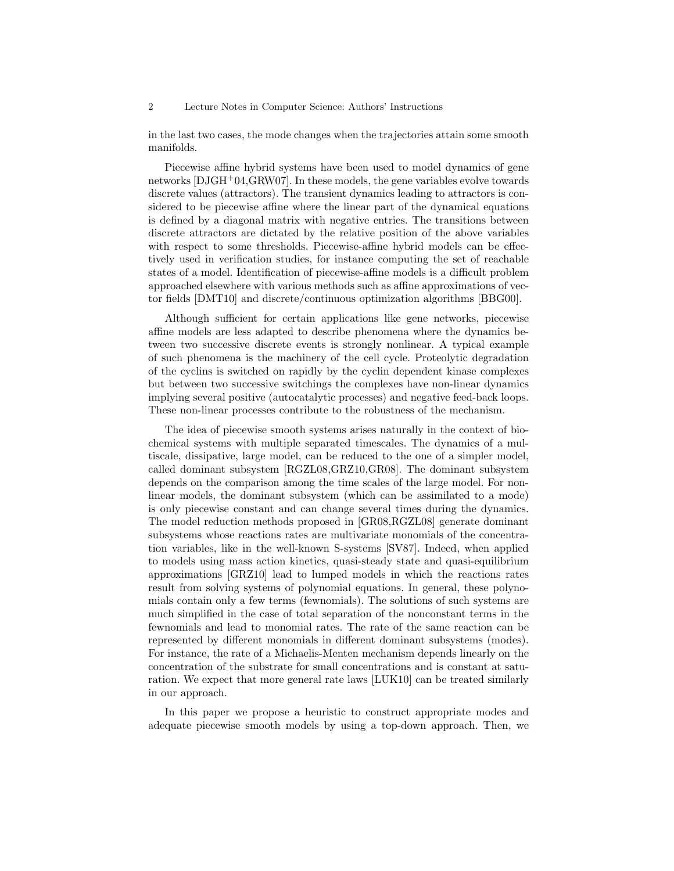#### 2 Lecture Notes in Computer Science: Authors' Instructions

in the last two cases, the mode changes when the trajectories attain some smooth manifolds.

Piecewise affine hybrid systems have been used to model dynamics of gene networks [DJGH+04,GRW07]. In these models, the gene variables evolve towards discrete values (attractors). The transient dynamics leading to attractors is considered to be piecewise affine where the linear part of the dynamical equations is defined by a diagonal matrix with negative entries. The transitions between discrete attractors are dictated by the relative position of the above variables with respect to some thresholds. Piecewise-affine hybrid models can be effectively used in verification studies, for instance computing the set of reachable states of a model. Identification of piecewise-affine models is a difficult problem approached elsewhere with various methods such as affine approximations of vector fields [DMT10] and discrete/continuous optimization algorithms [BBG00].

Although sufficient for certain applications like gene networks, piecewise affine models are less adapted to describe phenomena where the dynamics between two successive discrete events is strongly nonlinear. A typical example of such phenomena is the machinery of the cell cycle. Proteolytic degradation of the cyclins is switched on rapidly by the cyclin dependent kinase complexes but between two successive switchings the complexes have non-linear dynamics implying several positive (autocatalytic processes) and negative feed-back loops. These non-linear processes contribute to the robustness of the mechanism.

The idea of piecewise smooth systems arises naturally in the context of biochemical systems with multiple separated timescales. The dynamics of a multiscale, dissipative, large model, can be reduced to the one of a simpler model, called dominant subsystem [RGZL08,GRZ10,GR08]. The dominant subsystem depends on the comparison among the time scales of the large model. For nonlinear models, the dominant subsystem (which can be assimilated to a mode) is only piecewise constant and can change several times during the dynamics. The model reduction methods proposed in [GR08,RGZL08] generate dominant subsystems whose reactions rates are multivariate monomials of the concentration variables, like in the well-known S-systems [SV87]. Indeed, when applied to models using mass action kinetics, quasi-steady state and quasi-equilibrium approximations [GRZ10] lead to lumped models in which the reactions rates result from solving systems of polynomial equations. In general, these polynomials contain only a few terms (fewnomials). The solutions of such systems are much simplified in the case of total separation of the nonconstant terms in the fewnomials and lead to monomial rates. The rate of the same reaction can be represented by different monomials in different dominant subsystems (modes). For instance, the rate of a Michaelis-Menten mechanism depends linearly on the concentration of the substrate for small concentrations and is constant at saturation. We expect that more general rate laws [LUK10] can be treated similarly in our approach.

In this paper we propose a heuristic to construct appropriate modes and adequate piecewise smooth models by using a top-down approach. Then, we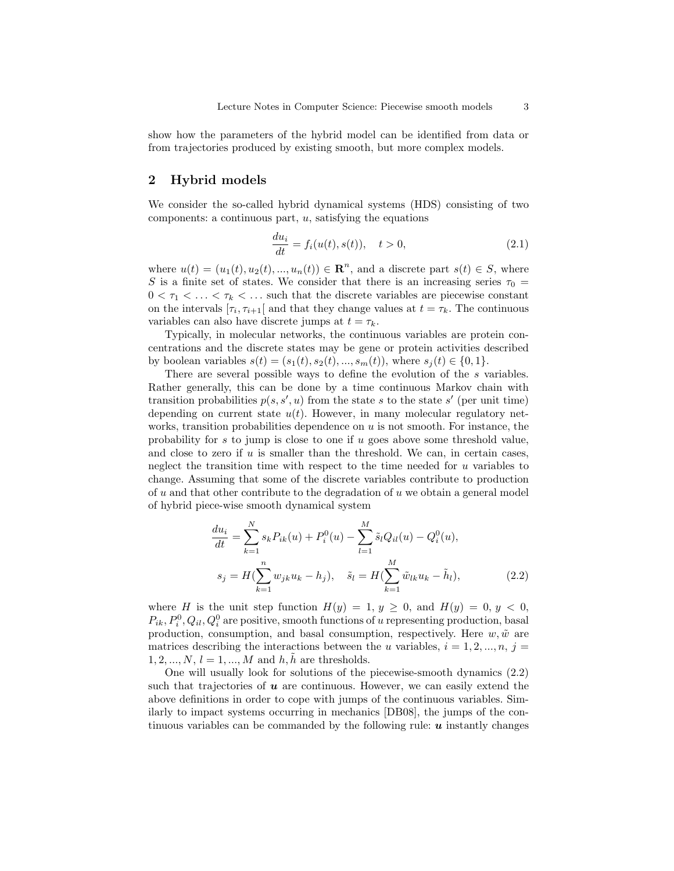show how the parameters of the hybrid model can be identified from data or from trajectories produced by existing smooth, but more complex models.

# 2 Hybrid models

We consider the so-called hybrid dynamical systems (HDS) consisting of two components: a continuous part,  $u$ , satisfying the equations

$$
\frac{du_i}{dt} = f_i(u(t), s(t)), \quad t > 0,
$$
\n(2.1)

where  $u(t) = (u_1(t), u_2(t), ..., u_n(t)) \in \mathbb{R}^n$ , and a discrete part  $s(t) \in S$ , where S is a finite set of states. We consider that there is an increasing series  $\tau_0 =$  $0 < \tau_1 < \ldots < \tau_k < \ldots$  such that the discrete variables are piecewise constant on the intervals  $[\tau_i, \tau_{i+1}]$  and that they change values at  $t = \tau_k$ . The continuous variables can also have discrete jumps at  $t = \tau_k$ .

Typically, in molecular networks, the continuous variables are protein concentrations and the discrete states may be gene or protein activities described by boolean variables  $s(t) = (s_1(t), s_2(t), ..., s_m(t))$ , where  $s_j(t) \in \{0, 1\}$ .

There are several possible ways to define the evolution of the s variables. Rather generally, this can be done by a time continuous Markov chain with transition probabilities  $p(s, s', u)$  from the state s to the state s' (per unit time) depending on current state  $u(t)$ . However, in many molecular regulatory networks, transition probabilities dependence on  $u$  is not smooth. For instance, the probability for s to jump is close to one if  $u$  goes above some threshold value, and close to zero if  $u$  is smaller than the threshold. We can, in certain cases, neglect the transition time with respect to the time needed for  $u$  variables to change. Assuming that some of the discrete variables contribute to production of u and that other contribute to the degradation of u we obtain a general model of hybrid piece-wise smooth dynamical system

$$
\frac{du_i}{dt} = \sum_{k=1}^{N} s_k P_{ik}(u) + P_i^0(u) - \sum_{l=1}^{M} \tilde{s}_l Q_{il}(u) - Q_i^0(u),
$$
  

$$
s_j = H(\sum_{k=1}^{n} w_{jk} u_k - h_j), \quad \tilde{s}_l = H(\sum_{k=1}^{M} \tilde{w}_{lk} u_k - \tilde{h}_l),
$$
 (2.2)

where H is the unit step function  $H(y) = 1, y \ge 0$ , and  $H(y) = 0, y < 0$ ,  $P_{ik}, P_i^0, Q_{il}, Q_i^0$  are positive, smooth functions of u representing production, basal production, consumption, and basal consumption, respectively. Here  $w, \tilde{w}$  are matrices describing the interactions between the u variables,  $i = 1, 2, ..., n$ ,  $j =$  $1, 2, ..., N, l = 1, ..., M$  and  $h, \tilde{h}$  are thresholds.

One will usually look for solutions of the piecewise-smooth dynamics (2.2) such that trajectories of  $\boldsymbol{u}$  are continuous. However, we can easily extend the above definitions in order to cope with jumps of the continuous variables. Similarly to impact systems occurring in mechanics [DB08], the jumps of the continuous variables can be commanded by the following rule:  $\boldsymbol{u}$  instantly changes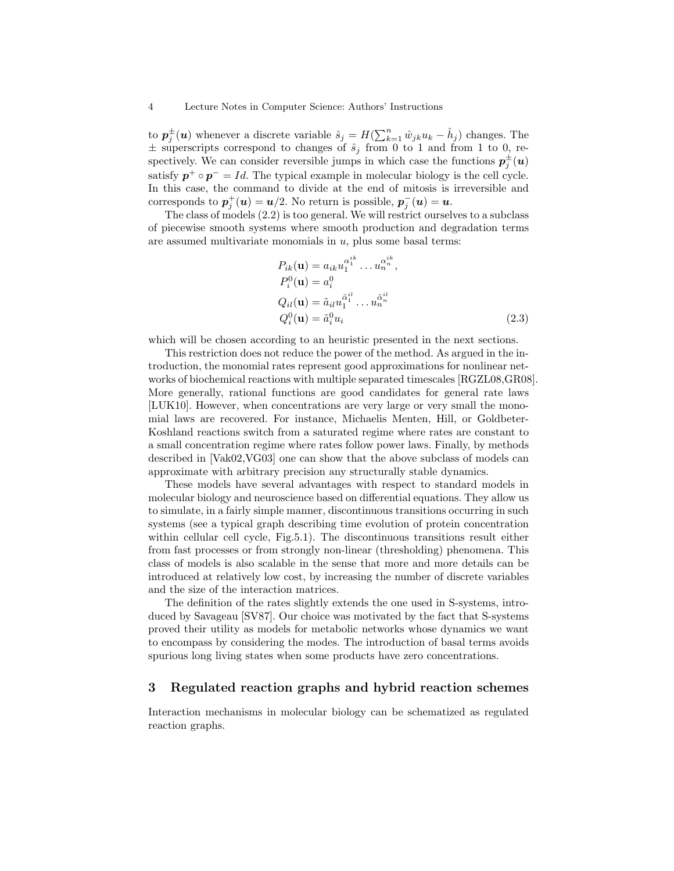to  $p_j^{\pm}(u)$  whenever a discrete variable  $\hat{s}_j = H(\sum_{k=1}^n \hat{w}_{jk}u_k - \hat{h}_j)$  changes. The  $\pm$  superscripts correspond to changes of  $\hat{s}_j$  from 0 to 1 and from 1 to 0, respectively. We can consider reversible jumps in which case the functions  $p_j^{\pm}(u)$ satisfy  $p^+ \circ p^- = Id$ . The typical example in molecular biology is the cell cycle. In this case, the command to divide at the end of mitosis is irreversible and corresponds to  $p_j^+(\mathbf{u}) = \mathbf{u}/2$ . No return is possible,  $p_j^-(\mathbf{u}) = \mathbf{u}$ .

The class of models (2.2) is too general. We will restrict ourselves to a subclass of piecewise smooth systems where smooth production and degradation terms are assumed multivariate monomials in  $u$ , plus some basal terms:

$$
P_{ik}(\mathbf{u}) = a_{ik} u_1^{\alpha_1^{ik}} \dots u_n^{\alpha_n^{ik}},
$$
  
\n
$$
P_i^0(\mathbf{u}) = a_i^0
$$
  
\n
$$
Q_{il}(\mathbf{u}) = \tilde{a}_{il} u_1^{\alpha_1^{il}} \dots u_n^{\alpha_n^{il}}
$$
  
\n
$$
Q_i^0(\mathbf{u}) = \tilde{a}_i^0 u_i
$$
\n(2.3)

which will be chosen according to an heuristic presented in the next sections.

This restriction does not reduce the power of the method. As argued in the introduction, the monomial rates represent good approximations for nonlinear networks of biochemical reactions with multiple separated timescales [RGZL08,GR08]. More generally, rational functions are good candidates for general rate laws [LUK10]. However, when concentrations are very large or very small the monomial laws are recovered. For instance, Michaelis Menten, Hill, or Goldbeter-Koshland reactions switch from a saturated regime where rates are constant to a small concentration regime where rates follow power laws. Finally, by methods described in [Vak02,VG03] one can show that the above subclass of models can approximate with arbitrary precision any structurally stable dynamics.

These models have several advantages with respect to standard models in molecular biology and neuroscience based on differential equations. They allow us to simulate, in a fairly simple manner, discontinuous transitions occurring in such systems (see a typical graph describing time evolution of protein concentration within cellular cell cycle, Fig.5.1). The discontinuous transitions result either from fast processes or from strongly non-linear (thresholding) phenomena. This class of models is also scalable in the sense that more and more details can be introduced at relatively low cost, by increasing the number of discrete variables and the size of the interaction matrices.

The definition of the rates slightly extends the one used in S-systems, introduced by Savageau [SV87]. Our choice was motivated by the fact that S-systems proved their utility as models for metabolic networks whose dynamics we want to encompass by considering the modes. The introduction of basal terms avoids spurious long living states when some products have zero concentrations.

# 3 Regulated reaction graphs and hybrid reaction schemes

Interaction mechanisms in molecular biology can be schematized as regulated reaction graphs.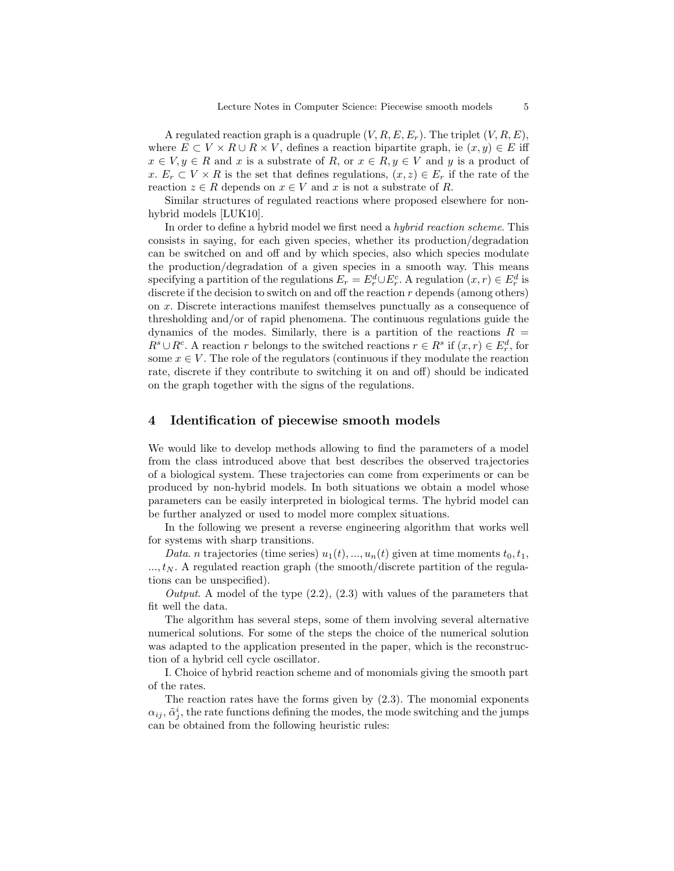A regulated reaction graph is a quadruple  $(V, R, E, E_r)$ . The triplet  $(V, R, E)$ , where  $E \subset V \times R \cup R \times V$ , defines a reaction bipartite graph, ie  $(x, y) \in E$  iff  $x \in V, y \in R$  and x is a substrate of R, or  $x \in R, y \in V$  and y is a product of x.  $E_r \subset V \times R$  is the set that defines regulations,  $(x, z) \in E_r$  if the rate of the reaction  $z \in R$  depends on  $x \in V$  and x is not a substrate of R.

Similar structures of regulated reactions where proposed elsewhere for nonhybrid models [LUK10].

In order to define a hybrid model we first need a hybrid reaction scheme. This consists in saying, for each given species, whether its production/degradation can be switched on and off and by which species, also which species modulate the production/degradation of a given species in a smooth way. This means specifying a partition of the regulations  $E_r = E_r^d \cup E_r^c$ . A regulation  $(x, r) \in E_r^d$  is discrete if the decision to switch on and off the reaction  $r$  depends (among others) on x. Discrete interactions manifest themselves punctually as a consequence of thresholding and/or of rapid phenomena. The continuous regulations guide the dynamics of the modes. Similarly, there is a partition of the reactions  $R =$  $R^s \cup R^c$ . A reaction r belongs to the switched reactions  $r \in R^s$  if  $(x, r) \in E^d_r$ , for some  $x \in V$ . The role of the regulators (continuous if they modulate the reaction rate, discrete if they contribute to switching it on and off) should be indicated on the graph together with the signs of the regulations.

#### 4 Identification of piecewise smooth models

We would like to develop methods allowing to find the parameters of a model from the class introduced above that best describes the observed trajectories of a biological system. These trajectories can come from experiments or can be produced by non-hybrid models. In both situations we obtain a model whose parameters can be easily interpreted in biological terms. The hybrid model can be further analyzed or used to model more complex situations.

In the following we present a reverse engineering algorithm that works well for systems with sharp transitions.

Data. n trajectories (time series)  $u_1(t),..., u_n(t)$  given at time moments  $t_0, t_1$ ,  $..., t_N$ . A regulated reaction graph (the smooth/discrete partition of the regulations can be unspecified).

Output. A model of the type  $(2.2)$ ,  $(2.3)$  with values of the parameters that fit well the data.

The algorithm has several steps, some of them involving several alternative numerical solutions. For some of the steps the choice of the numerical solution was adapted to the application presented in the paper, which is the reconstruction of a hybrid cell cycle oscillator.

I. Choice of hybrid reaction scheme and of monomials giving the smooth part of the rates.

The reaction rates have the forms given by (2.3). The monomial exponents  $\alpha_{ij}, \tilde{\alpha}_j^i$ , the rate functions defining the modes, the mode switching and the jumps can be obtained from the following heuristic rules: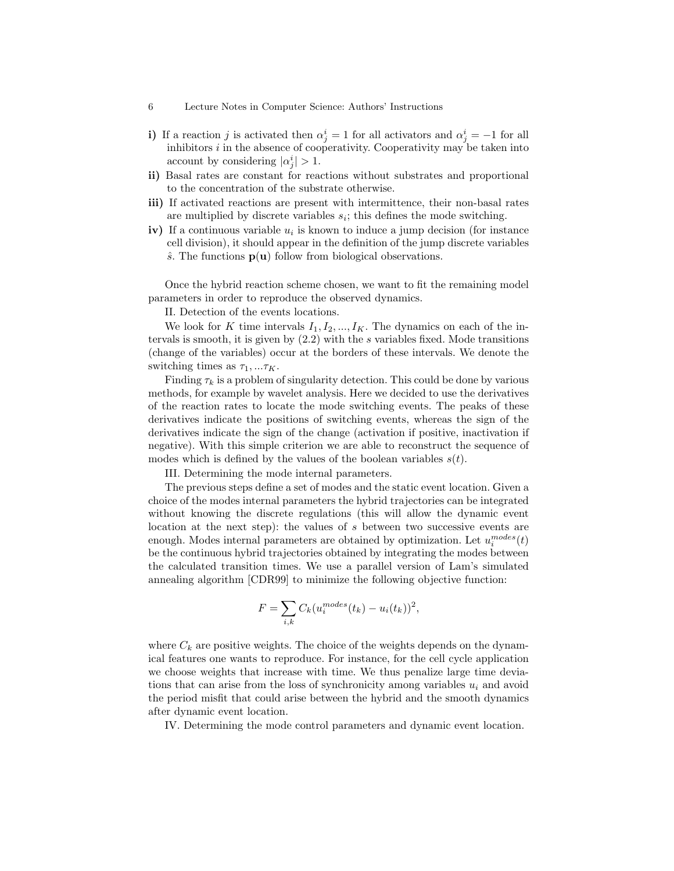- 6 Lecture Notes in Computer Science: Authors' Instructions
- i) If a reaction j is activated then  $\alpha_j^i = 1$  for all activators and  $\alpha_j^i = -1$  for all inhibitors  $i$  in the absence of cooperativity. Cooperativity may be taken into account by considering  $|\alpha_j^i| > 1$ .
- ii) Basal rates are constant for reactions without substrates and proportional to the concentration of the substrate otherwise.
- iii) If activated reactions are present with intermittence, their non-basal rates are multiplied by discrete variables  $s_i$ ; this defines the mode switching.
- iv) If a continuous variable  $u_i$  is known to induce a jump decision (for instance cell division), it should appear in the definition of the jump discrete variables  $\hat{s}$ . The functions  $p(u)$  follow from biological observations.

Once the hybrid reaction scheme chosen, we want to fit the remaining model parameters in order to reproduce the observed dynamics.

II. Detection of the events locations.

We look for K time intervals  $I_1, I_2, ..., I_K$ . The dynamics on each of the intervals is smooth, it is given by  $(2.2)$  with the s variables fixed. Mode transitions (change of the variables) occur at the borders of these intervals. We denote the switching times as  $\tau_1, \ldots \tau_K$ .

Finding  $\tau_k$  is a problem of singularity detection. This could be done by various methods, for example by wavelet analysis. Here we decided to use the derivatives of the reaction rates to locate the mode switching events. The peaks of these derivatives indicate the positions of switching events, whereas the sign of the derivatives indicate the sign of the change (activation if positive, inactivation if negative). With this simple criterion we are able to reconstruct the sequence of modes which is defined by the values of the boolean variables  $s(t)$ .

III. Determining the mode internal parameters.

The previous steps define a set of modes and the static event location. Given a choice of the modes internal parameters the hybrid trajectories can be integrated without knowing the discrete regulations (this will allow the dynamic event location at the next step): the values of s between two successive events are enough. Modes internal parameters are obtained by optimization. Let  $u_i^{modes}(t)$ be the continuous hybrid trajectories obtained by integrating the modes between the calculated transition times. We use a parallel version of Lam's simulated annealing algorithm [CDR99] to minimize the following objective function:

$$
F = \sum_{i,k} C_k (u_i^{modes}(t_k) - u_i(t_k))^2,
$$

where  $C_k$  are positive weights. The choice of the weights depends on the dynamical features one wants to reproduce. For instance, for the cell cycle application we choose weights that increase with time. We thus penalize large time deviations that can arise from the loss of synchronicity among variables  $u_i$  and avoid the period misfit that could arise between the hybrid and the smooth dynamics after dynamic event location.

IV. Determining the mode control parameters and dynamic event location.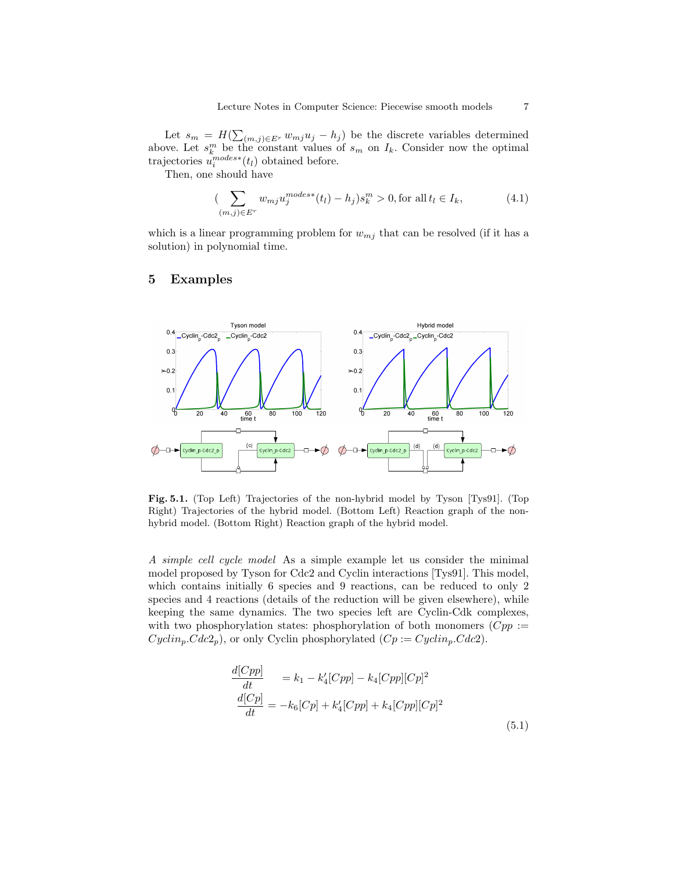Let  $s_m = H(\sum_{(m,j)\in E^r} w_{mj}u_j - h_j)$  be the discrete variables determined above. Let  $s_k^m$  be the constant values of  $s_m$  on  $I_k$ . Consider now the optimal trajectories  $u_i^{modes*}(t_i)$  obtained before.

Then, one should have

$$
\left(\sum_{(m,j)\in E^r} w_{mj} u_j^{modes*}(t_l) - h_j\right) s_k^m > 0, \text{for all } t_l \in I_k,\tag{4.1}
$$

which is a linear programming problem for  $w_{mj}$  that can be resolved (if it has a solution) in polynomial time.

# 5 Examples



Fig. 5.1. (Top Left) Trajectories of the non-hybrid model by Tyson [Tys91]. (Top Right) Trajectories of the hybrid model. (Bottom Left) Reaction graph of the nonhybrid model. (Bottom Right) Reaction graph of the hybrid model.

A simple cell cycle model As a simple example let us consider the minimal model proposed by Tyson for Cdc2 and Cyclin interactions [Tys91]. This model, which contains initially 6 species and 9 reactions, can be reduced to only 2 species and 4 reactions (details of the reduction will be given elsewhere), while keeping the same dynamics. The two species left are Cyclin-Cdk complexes, with two phosphorylation states: phosphorylation of both monomers  $(Cpp :=$  $Cyclin_p.Cdc2_p$ , or only Cyclin phosphorylated  $(Cp := Cyclin_p.Cdc2)$ .

$$
\frac{d[Cpp]}{dt} = k_1 - k'_4[Cpp] - k_4[Cpp][Cp]^2
$$
  
\n
$$
\frac{d[Cp]}{dt} = -k_6[Cp] + k'_4[Cpp] + k_4[Cpp][Cp]^2
$$
\n(5.1)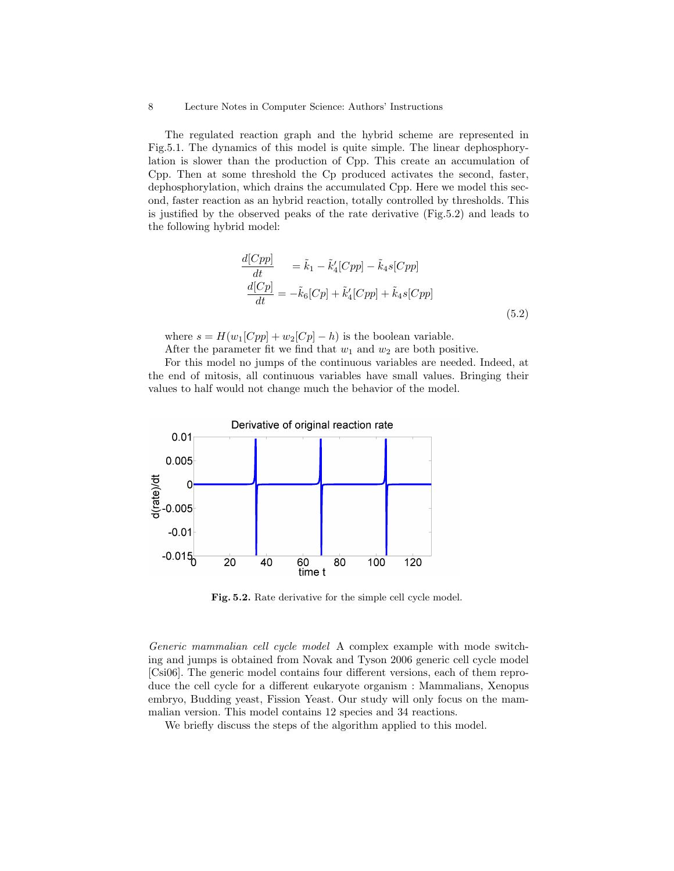#### 8 Lecture Notes in Computer Science: Authors' Instructions

The regulated reaction graph and the hybrid scheme are represented in Fig.5.1. The dynamics of this model is quite simple. The linear dephosphorylation is slower than the production of Cpp. This create an accumulation of Cpp. Then at some threshold the Cp produced activates the second, faster, dephosphorylation, which drains the accumulated Cpp. Here we model this second, faster reaction as an hybrid reaction, totally controlled by thresholds. This is justified by the observed peaks of the rate derivative (Fig.5.2) and leads to the following hybrid model:

$$
\frac{d[Cpp]}{dt} = \tilde{k}_1 - \tilde{k}'_4[Cpp] - \tilde{k}_4s[Cpp]
$$
\n
$$
\frac{d[Cp]}{dt} = -\tilde{k}_6[Cp] + \tilde{k}'_4[Cpp] + \tilde{k}_4s[Cpp]
$$
\n(5.2)

where  $s = H(w_1[Cpp] + w_2[Cp] - h)$  is the boolean variable.

After the parameter fit we find that  $w_1$  and  $w_2$  are both positive.

For this model no jumps of the continuous variables are needed. Indeed, at the end of mitosis, all continuous variables have small values. Bringing their values to half would not change much the behavior of the model.



Fig. 5.2. Rate derivative for the simple cell cycle model.

Generic mammalian cell cycle model A complex example with mode switching and jumps is obtained from Novak and Tyson 2006 generic cell cycle model [Csi06]. The generic model contains four different versions, each of them reproduce the cell cycle for a different eukaryote organism : Mammalians, Xenopus embryo, Budding yeast, Fission Yeast. Our study will only focus on the mammalian version. This model contains 12 species and 34 reactions.

We briefly discuss the steps of the algorithm applied to this model.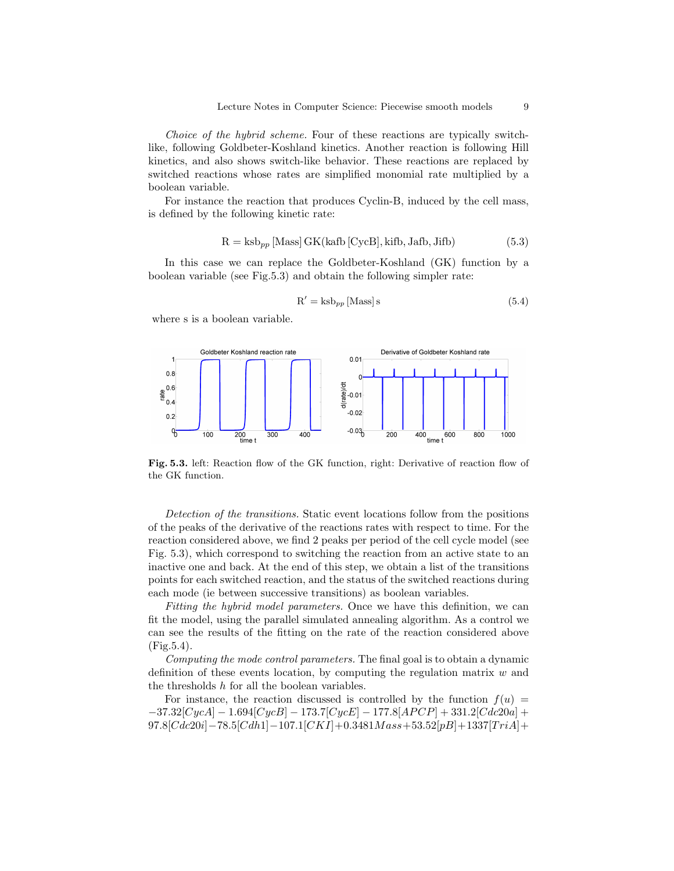Choice of the hybrid scheme. Four of these reactions are typically switchlike, following Goldbeter-Koshland kinetics. Another reaction is following Hill kinetics, and also shows switch-like behavior. These reactions are replaced by switched reactions whose rates are simplified monomial rate multiplied by a boolean variable.

For instance the reaction that produces Cyclin-B, induced by the cell mass, is defined by the following kinetic rate:

$$
R = ksb_{pp} [Mass] GK(kafb [CycB], kifb, Jafb, Jifb)
$$
 (5.3)

In this case we can replace the Goldbeter-Koshland (GK) function by a boolean variable (see Fig.5.3) and obtain the following simpler rate:

$$
R' = k s b_{pp} [Mass] s
$$
 (5.4)

where s is a boolean variable.



Fig. 5.3. left: Reaction flow of the GK function, right: Derivative of reaction flow of the GK function.

Detection of the transitions. Static event locations follow from the positions of the peaks of the derivative of the reactions rates with respect to time. For the reaction considered above, we find 2 peaks per period of the cell cycle model (see Fig. 5.3), which correspond to switching the reaction from an active state to an inactive one and back. At the end of this step, we obtain a list of the transitions points for each switched reaction, and the status of the switched reactions during each mode (ie between successive transitions) as boolean variables.

Fitting the hybrid model parameters. Once we have this definition, we can fit the model, using the parallel simulated annealing algorithm. As a control we can see the results of the fitting on the rate of the reaction considered above (Fig.5.4).

Computing the mode control parameters. The final goal is to obtain a dynamic definition of these events location, by computing the regulation matrix  $w$  and the thresholds h for all the boolean variables.

For instance, the reaction discussed is controlled by the function  $f(u)$  $-37.32[CycA] - 1.694[CycB] - 173.7[CycE] - 177.8[APCP] + 331.2[Cdc20a] +$  $97.8[Cdc20i] - 78.5[Cdh1] - 107.1[CKI] + 0.3481Mass + 53.52[pB] + 1337[TriA] +$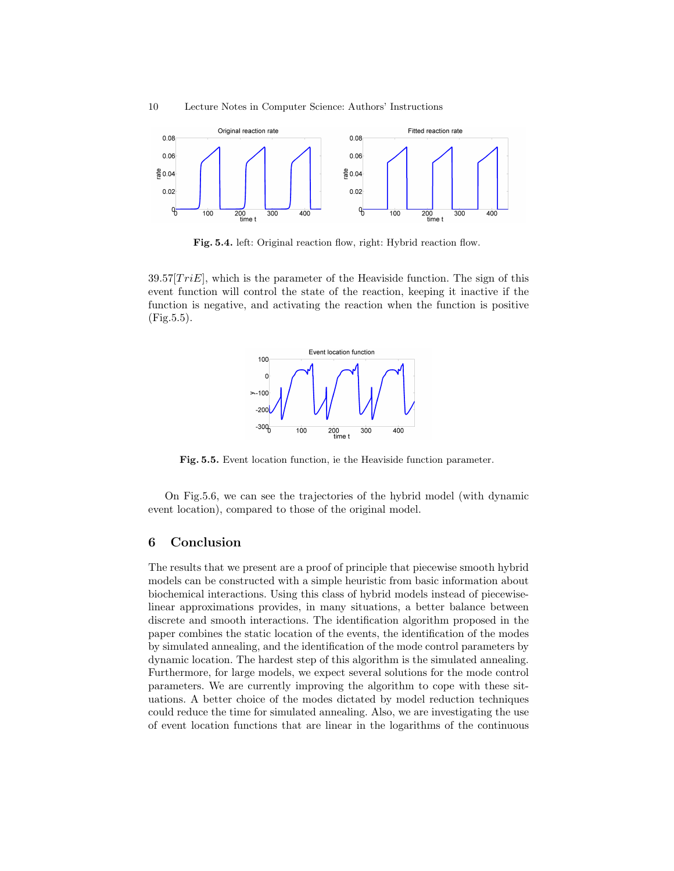

Fig. 5.4. left: Original reaction flow, right: Hybrid reaction flow.

 $39.57[TriE]$ , which is the parameter of the Heaviside function. The sign of this event function will control the state of the reaction, keeping it inactive if the function is negative, and activating the reaction when the function is positive (Fig.5.5).



Fig. 5.5. Event location function, ie the Heaviside function parameter.

On Fig.5.6, we can see the trajectories of the hybrid model (with dynamic event location), compared to those of the original model.

# 6 Conclusion

The results that we present are a proof of principle that piecewise smooth hybrid models can be constructed with a simple heuristic from basic information about biochemical interactions. Using this class of hybrid models instead of piecewiselinear approximations provides, in many situations, a better balance between discrete and smooth interactions. The identification algorithm proposed in the paper combines the static location of the events, the identification of the modes by simulated annealing, and the identification of the mode control parameters by dynamic location. The hardest step of this algorithm is the simulated annealing. Furthermore, for large models, we expect several solutions for the mode control parameters. We are currently improving the algorithm to cope with these situations. A better choice of the modes dictated by model reduction techniques could reduce the time for simulated annealing. Also, we are investigating the use of event location functions that are linear in the logarithms of the continuous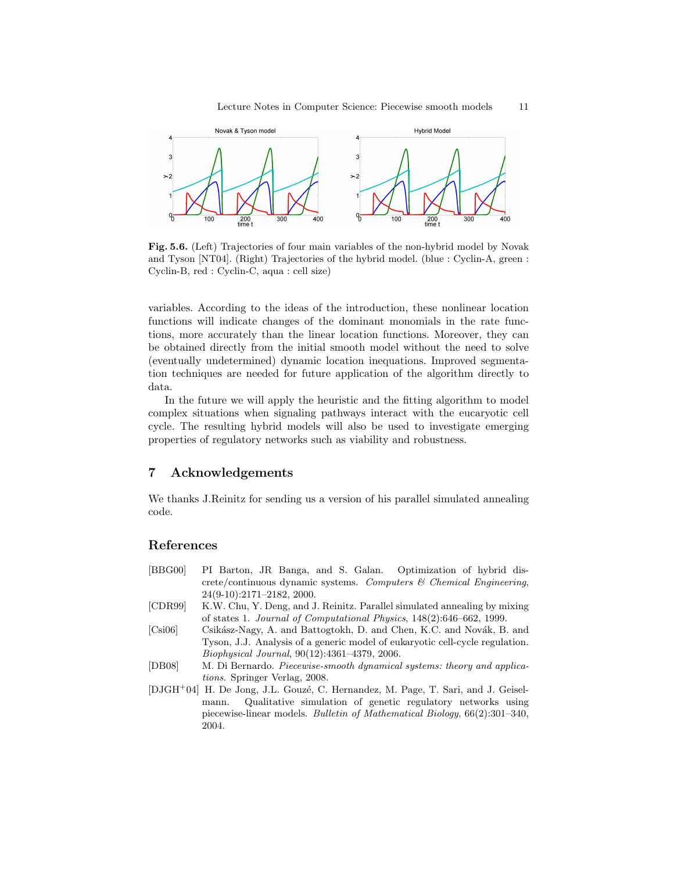

Fig. 5.6. (Left) Trajectories of four main variables of the non-hybrid model by Novak and Tyson [NT04]. (Right) Trajectories of the hybrid model. (blue : Cyclin-A, green : Cyclin-B, red : Cyclin-C, aqua : cell size)

variables. According to the ideas of the introduction, these nonlinear location functions will indicate changes of the dominant monomials in the rate functions, more accurately than the linear location functions. Moreover, they can be obtained directly from the initial smooth model without the need to solve (eventually undetermined) dynamic location inequations. Improved segmentation techniques are needed for future application of the algorithm directly to data.

In the future we will apply the heuristic and the fitting algorithm to model complex situations when signaling pathways interact with the eucaryotic cell cycle. The resulting hybrid models will also be used to investigate emerging properties of regulatory networks such as viability and robustness.

### 7 Acknowledgements

We thanks J.Reinitz for sending us a version of his parallel simulated annealing code.

## References

- [BBG00] PI Barton, JR Banga, and S. Galan. Optimization of hybrid dis- $\text{crete}/\text{continuous}$  dynamic systems. Computers  $\mathcal B$  Chemical Engineering, 24(9-10):2171–2182, 2000.
- [CDR99] K.W. Chu, Y. Deng, and J. Reinitz. Parallel simulated annealing by mixing of states 1. Journal of Computational Physics, 148(2):646–662, 1999.
- [Csi06] Csikász-Nagy, A. and Battogtokh, D. and Chen, K.C. and Novák, B. and Tyson, J.J. Analysis of a generic model of eukaryotic cell-cycle regulation. Biophysical Journal, 90(12):4361–4379, 2006.
- [DB08] M. Di Bernardo. Piecewise-smooth dynamical systems: theory and applications. Springer Verlag, 2008.
- [DJGH<sup>+</sup>04] H. De Jong, J.L. Gouzé, C. Hernandez, M. Page, T. Sari, and J. Geiselmann. Qualitative simulation of genetic regulatory networks using piecewise-linear models. Bulletin of Mathematical Biology, 66(2):301–340, 2004.